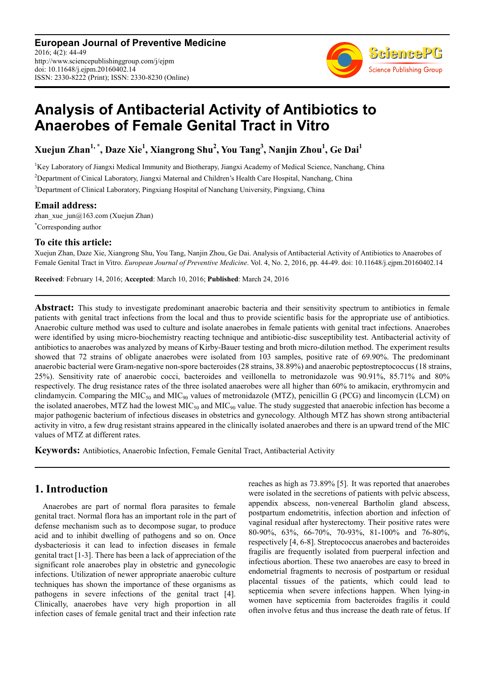**European Journal of Preventive Medicine** 2016; 4(2): 44-49 http://www.sciencepublishinggroup.com/j/ejpm doi: 10.11648/j.ejpm.20160402.14 ISSN: 2330-8222 (Print); ISSN: 2330-8230 (Online)



# **Analysis of Antibacterial Activity of Antibiotics to Anaerobes of Female Genital Tract in Vitro**

**Xuejun Zhan1, \*, Daze Xie<sup>1</sup> , Xiangrong Shu<sup>2</sup> , You Tang<sup>3</sup> , Nanjin Zhou<sup>1</sup> , Ge Dai<sup>1</sup>**

<sup>1</sup>Key Laboratory of Jiangxi Medical Immunity and Biotherapy, Jiangxi Academy of Medical Science, Nanchang, China <sup>2</sup>Department of Cinical Laboratory, Jiangxi Maternal and Children's Health Care Hospital, Nanchang, China <sup>3</sup>Department of Clinical Laboratory, Pingxiang Hospital of Nanchang University, Pingxiang, China

# **Email address:**

zhan xue  $\mu_0$ 163.com (Xuejun Zhan) \*Corresponding author

## **To cite this article:**

Xuejun Zhan, Daze Xie, Xiangrong Shu, You Tang, Nanjin Zhou, Ge Dai. Analysis of Antibacterial Activity of Antibiotics to Anaerobes of Female Genital Tract in Vitro. *European Journal of Preventive Medicine*. Vol. 4, No. 2, 2016, pp. 44-49. doi: 10.11648/j.ejpm.20160402.14

**Received**: February 14, 2016; **Accepted**: March 10, 2016; **Published**: March 24, 2016

**Abstract:** This study to investigate predominant anaerobic bacteria and their sensitivity spectrum to antibiotics in female patients with genital tract infections from the local and thus to provide scientific basis for the appropriate use of antibiotics. Anaerobic culture method was used to culture and isolate anaerobes in female patients with genital tract infections. Anaerobes were identified by using micro-biochemistry reacting technique and antibiotic-disc susceptibility test. Antibacterial activity of antibiotics to anaerobes was analyzed by means of Kirby-Bauer testing and broth micro-dilution method. The experiment results showed that 72 strains of obligate anaerobes were isolated from 103 samples, positive rate of 69.90%. The predominant anaerobic bacterial were Gram-negative non-spore bacteroides (28 strains, 38.89%) and anaerobic peptostreptococcus (18 strains, 25%). Sensitivity rate of anaerobic cocci, bacteroides and veillonella to metronidazole was 90.91%, 85.71% and 80% respectively. The drug resistance rates of the three isolated anaerobes were all higher than 60% to amikacin, erythromycin and clindamycin. Comparing the MIC<sub>50</sub> and MIC<sub>90</sub> values of metronidazole (MTZ), penicillin G (PCG) and lincomycin (LCM) on the isolated anaerobes, MTZ had the lowest MIC<sub>50</sub> and MIC<sub>90</sub> value. The study suggested that anaerobic infection has become a major pathogenic bacterium of infectious diseases in obstetrics and gynecology. Although MTZ has shown strong antibacterial activity in vitro, a few drug resistant strains appeared in the clinically isolated anaerobes and there is an upward trend of the MIC values of MTZ at different rates.

**Keywords:** Antibiotics, Anaerobic Infection, Female Genital Tract, Antibacterial Activity

# **1. Introduction**

Anaerobes are part of normal flora parasites to female genital tract. Normal flora has an important role in the part of defense mechanism such as to decompose sugar, to produce acid and to inhibit dwelling of pathogens and so on. Once dysbacteriosis it can lead to infection diseases in female genital tract [1-3]. There has been a lack of appreciation of the significant role anaerobes play in obstetric and gynecologic infections. Utilization of newer appropriate anaerobic culture techniques has shown the importance of these organisms as pathogens in severe infections of the genital tract [4]. Clinically, anaerobes have very high proportion in all infection cases of female genital tract and their infection rate reaches as high as 73.89% [5]. It was reported that anaerobes were isolated in the secretions of patients with pelvic abscess, appendix abscess, non-venereal Bartholin gland abscess, postpartum endometritis, infection abortion and infection of vaginal residual after hysterectomy. Their positive rates were 80-90%, 63%, 66-70%, 70-93%, 81-100% and 76-80%, respectively [4, 6-8]. Streptococcus anaerobes and bacteroides fragilis are frequently isolated from puerperal infection and infectious abortion. These two anaerobes are easy to breed in endometrial fragments to necrosis of postpartum or residual placental tissues of the patients, which could lead to septicemia when severe infections happen. When lying-in women have septicemia from bacteroides fragilis it could often involve fetus and thus increase the death rate of fetus. If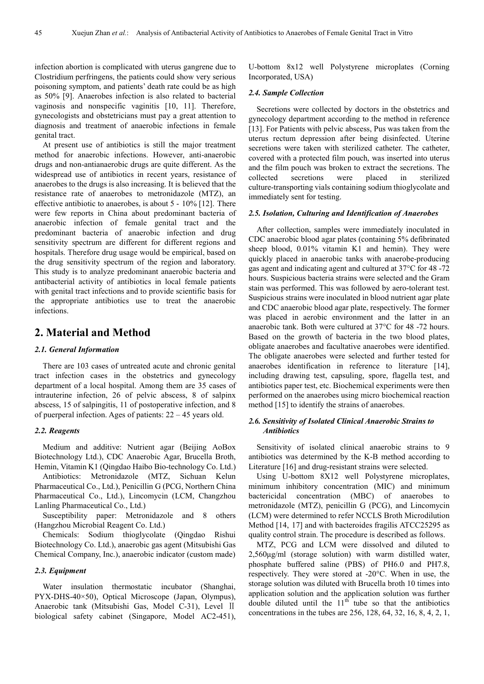infection abortion is complicated with uterus gangrene due to Clostridium perfringens, the patients could show very serious poisoning symptom, and patients' death rate could be as high as 50% [9]. Anaerobes infection is also related to bacterial vaginosis and nonspecific vaginitis [10, 11]. Therefore, gynecologists and obstetricians must pay a great attention to diagnosis and treatment of anaerobic infections in female genital tract.

At present use of antibiotics is still the major treatment method for anaerobic infections. However, anti-anaerobic drugs and non-antianaerobic drugs are quite different. As the widespread use of antibiotics in recent years, resistance of anaerobes to the drugs is also increasing. It is believed that the resistance rate of anaerobes to metronidazole (MTZ), an effective antibiotic to anaerobes, is about 5 - 10% [12]. There were few reports in China about predominant bacteria of anaerobic infection of female genital tract and the predominant bacteria of anaerobic infection and drug sensitivity spectrum are different for different regions and hospitals. Therefore drug usage would be empirical, based on the drug sensitivity spectrum of the region and laboratory. This study is to analyze predominant anaerobic bacteria and antibacterial activity of antibiotics in local female patients with genital tract infections and to provide scientific basis for the appropriate antibiotics use to treat the anaerobic infections.

# **2. Material and Method**

#### *2.1. General Information*

There are 103 cases of untreated acute and chronic genital tract infection cases in the obstetrics and gynecology department of a local hospital. Among them are 35 cases of intrauterine infection, 26 of pelvic abscess, 8 of salpinx abscess, 15 of salpingitis, 11 of postoperative infection, and 8 of puerperal infection. Ages of patients: 22 – 45 years old.

#### *2.2. Reagents*

Medium and additive: Nutrient agar (Beijing AoBox Biotechnology Ltd.), CDC Anaerobic Agar, Brucella Broth, Hemin, Vitamin K1 (Qingdao Haibo Bio-technology Co. Ltd.)

Antibiotics: Metronidazole (MTZ, Sichuan Kelun Pharmaceutical Co., Ltd.), Penicillin G (PCG, Northern China Pharmaceutical Co., Ltd.), Lincomycin (LCM, Changzhou Lanling Pharmaceutical Co., Ltd.)

Susceptibility paper: Metronidazole and 8 others (Hangzhou Microbial Reagent Co. Ltd.)

Chemicals: Sodium thioglycolate (Qingdao Rishui Biotechnology Co. Ltd.), anaerobic gas agent (Mitsubishi Gas Chemical Company, Inc.), anaerobic indicator (custom made)

#### *2.3. Equipment*

Water insulation thermostatic incubator (Shanghai, PYX-DHS-40×50), Optical Microscope (Japan, Olympus), Anaerobic tank (Mitsubishi Gas, Model C-31), Level Ⅱ biological safety cabinet (Singapore, Model AC2-451), U-bottom 8x12 well Polystyrene microplates (Corning Incorporated, USA)

#### *2.4. Sample Collection*

Secretions were collected by doctors in the obstetrics and gynecology department according to the method in reference [13]. For Patients with pelvic abscess, Pus was taken from the uterus rectum depression after being disinfected. Uterine secretions were taken with sterilized catheter. The catheter, covered with a protected film pouch, was inserted into uterus and the film pouch was broken to extract the secretions. The collected secretions were placed in sterilized culture-transporting vials containing sodium thioglycolate and immediately sent for testing.

#### *2.5. Isolation, Culturing and Identification of Anaerobes*

After collection, samples were immediately inoculated in CDC anaerobic blood agar plates (containing 5% defibrinated sheep blood, 0.01% vitamin K1 and hemin). They were quickly placed in anaerobic tanks with anaerobe-producing gas agent and indicating agent and cultured at 37°C for 48 -72 hours. Suspicious bacteria strains were selected and the Gram stain was performed. This was followed by aero-tolerant test. Suspicious strains were inoculated in blood nutrient agar plate and CDC anaerobic blood agar plate, respectively. The former was placed in aerobic environment and the latter in an anaerobic tank. Both were cultured at 37°C for 48 -72 hours. Based on the growth of bacteria in the two blood plates, obligate anaerobes and facultative anaerobes were identified. The obligate anaerobes were selected and further tested for anaerobes identification in reference to literature [14], including drawing test, capsuling, spore, flagella test, and antibiotics paper test, etc. Biochemical experiments were then performed on the anaerobes using micro biochemical reaction method [15] to identify the strains of anaerobes.

#### *2.6. Sensitivity of Isolated Clinical Anaerobic Strains to Antibiotics*

Sensitivity of isolated clinical anaerobic strains to 9 antibiotics was determined by the K-B method according to Literature [16] and drug-resistant strains were selected.

Using U-bottom 8X12 well Polystyrene microplates, minimum inhibitory concentration (MIC) and minimum bactericidal concentration (MBC) of anaerobes to metronidazole (MTZ), penicillin G (PCG), and Lincomycin (LCM) were determined to refer NCCLS Broth Microdilution Method [14, 17] and with bacteroides fragilis ATCC25295 as quality control strain. The procedure is described as follows.

MTZ, PCG and LCM were dissolved and diluted to 2,560µg/ml (storage solution) with warm distilled water, phosphate buffered saline (PBS) of PH6.0 and PH7.8, respectively. They were stored at -20°C. When in use, the storage solution was diluted with Brucella broth 10 times into application solution and the application solution was further double diluted until the  $11<sup>th</sup>$  tube so that the antibiotics concentrations in the tubes are 256, 128, 64, 32, 16, 8, 4, 2, 1,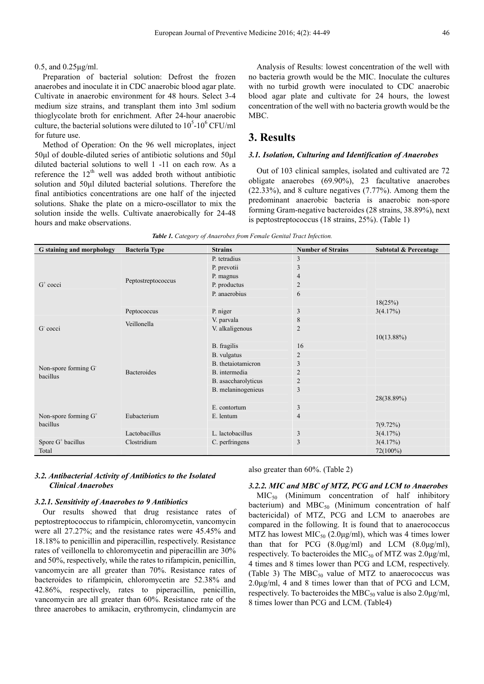#### 0.5, and 0.25µg/ml.

Preparation of bacterial solution: Defrost the frozen anaerobes and inoculate it in CDC anaerobic blood agar plate. Cultivate in anaerobic environment for 48 hours. Select 3-4 medium size strains, and transplant them into 3ml sodium thioglycolate broth for enrichment. After 24-hour anaerobic culture, the bacterial solutions were diluted to  $10^5$ - $10^6$  CFU/ml for future use.

Method of Operation: On the 96 well microplates, inject 50µl of double-diluted series of antibiotic solutions and 50µl diluted bacterial solutions to well 1 -11 on each row. As a reference the  $12<sup>th</sup>$  well was added broth without antibiotic solution and 50 $\mu$ l diluted bacterial solutions. Therefore the final antibiotics concentrations are one half of the injected solutions. Shake the plate on a micro-oscillator to mix the solution inside the wells. Cultivate anaerobically for 24-48 hours and make observations.

Analysis of Results: lowest concentration of the well with no bacteria growth would be the MIC. Inoculate the cultures with no turbid growth were inoculated to CDC anaerobic blood agar plate and cultivate for 24 hours, the lowest concentration of the well with no bacteria growth would be the MBC.

# **3. Results**

#### *3.1. Isolation, Culturing and Identification of Anaerobes*

Out of 103 clinical samples, isolated and cultivated are 72 obligate anaerobes (69.90%), 23 facultative anaerobes (22.33%), and 8 culture negatives (7.77%). Among them the predominant anaerobic bacteria is anaerobic non-spore forming Gram-negative bacteroides (28 strains, 38.89%), next is peptostreptococcus (18 strains, 25%). (Table 1)

|  |  |  |  |  | Table 1. Category of Anaerobes from Female Genital Tract Infection. |
|--|--|--|--|--|---------------------------------------------------------------------|
|--|--|--|--|--|---------------------------------------------------------------------|

| <b>Tuble 1.</b> Calc <sub>o</sub> ory of <i>Indicious</i> from I chance Schillar Index Infection. |                      |                     |                          |                                  |  |  |  |  |
|---------------------------------------------------------------------------------------------------|----------------------|---------------------|--------------------------|----------------------------------|--|--|--|--|
| G staining and morphology                                                                         | <b>Bacteria Type</b> | <b>Strains</b>      | <b>Number of Strains</b> | <b>Subtotal &amp; Percentage</b> |  |  |  |  |
|                                                                                                   |                      | P. tetradius        | 3                        |                                  |  |  |  |  |
|                                                                                                   |                      | P. prevotii         | 3                        |                                  |  |  |  |  |
|                                                                                                   |                      | P. magnus           | $\overline{4}$           |                                  |  |  |  |  |
| $G+ cocci$                                                                                        | Peptostreptococcus   | P. productus        | $\overline{c}$           |                                  |  |  |  |  |
|                                                                                                   |                      | P. anaerobius       | 6                        |                                  |  |  |  |  |
|                                                                                                   |                      |                     |                          | 18(25%)                          |  |  |  |  |
|                                                                                                   | Peptococcus          | P. niger            | $\mathfrak{Z}$           | 3(4.17%)                         |  |  |  |  |
|                                                                                                   | Veillonella          | V. parvala          | 8                        |                                  |  |  |  |  |
| G cocci                                                                                           |                      | V. alkaligenous     | $\overline{2}$           |                                  |  |  |  |  |
|                                                                                                   |                      |                     |                          | $10(13.88\%)$                    |  |  |  |  |
|                                                                                                   |                      | B. fragilis         | 16                       |                                  |  |  |  |  |
|                                                                                                   |                      | B. vulgatus         | $\overline{2}$           |                                  |  |  |  |  |
|                                                                                                   |                      | B. thetaiotamicron  | 3                        |                                  |  |  |  |  |
| Non-spore forming G <sup>-</sup><br>bacillus                                                      | <b>Bacteroides</b>   | B. intermedia       | $\overline{2}$           |                                  |  |  |  |  |
|                                                                                                   |                      | B. asaccharolyticus | $\overline{c}$           |                                  |  |  |  |  |
|                                                                                                   |                      | B. melaninogenieus  | 3                        |                                  |  |  |  |  |
|                                                                                                   |                      |                     |                          | 28(38.89%)                       |  |  |  |  |
|                                                                                                   |                      | E. contortum        | 3                        |                                  |  |  |  |  |
| Non-spore forming G <sup>+</sup>                                                                  | Eubacterium          | E. lentum           | $\overline{4}$           |                                  |  |  |  |  |
| bacillus                                                                                          |                      |                     |                          | 7(9.72%)                         |  |  |  |  |
|                                                                                                   | Lactobacillus        | L. lactobacillus    | 3                        | 3(4.17%)                         |  |  |  |  |
| Spore G <sup>+</sup> bacillus                                                                     | Clostridium          | C. perfringens      | 3                        | 3(4.17%)                         |  |  |  |  |
| Total                                                                                             |                      |                     |                          | 72(100%)                         |  |  |  |  |

#### *3.2. Antibacterial Activity of Antibiotics to the Isolated Clinical Anaerobes*

#### *3.2.1. Sensitivity of Anaerobes to 9 Antibiotics*

Our results showed that drug resistance rates of peptostreptococcus to rifampicin, chloromycetin, vancomycin were all 27.27%; and the resistance rates were 45.45% and 18.18% to penicillin and piperacillin, respectively. Resistance rates of veillonella to chloromycetin and piperacillin are 30% and 50%, respectively, while the rates to rifampicin, penicillin, vancomycin are all greater than 70%. Resistance rates of bacteroides to rifampicin, chloromycetin are 52.38% and 42.86%, respectively, rates to piperacillin, penicillin, vancomycin are all greater than 60%. Resistance rate of the three anaerobes to amikacin, erythromycin, clindamycin are

also greater than 60%. (Table 2)

#### *3.2.2. MIC and MBC of MTZ, PCG and LCM to Anaerobes* MIC50 (Minimum concentration of half inhibitory bacterium) and  $MBC_{50}$  (Minimum concentration of half

bactericidal) of MTZ, PCG and LCM to anaerobes are compared in the following. It is found that to anaerococcus MTZ has lowest  $MIC<sub>50</sub> (2.0µg/ml)$ , which was 4 times lower than that for PCG  $(8.0\mu g/ml)$  and LCM  $(8.0\mu g/ml)$ , respectively. To bacteroides the MIC<sub>50</sub> of MTZ was  $2.0\mu g/ml$ , 4 times and 8 times lower than PCG and LCM, respectively. (Table 3) The  $MBC_{50}$  value of MTZ to anaerococcus was 2.0µg/ml, 4 and 8 times lower than that of PCG and LCM, respectively. To bacteroides the MBC $_{50}$  value is also 2.0 $\mu$ g/ml, 8 times lower than PCG and LCM. (Table4)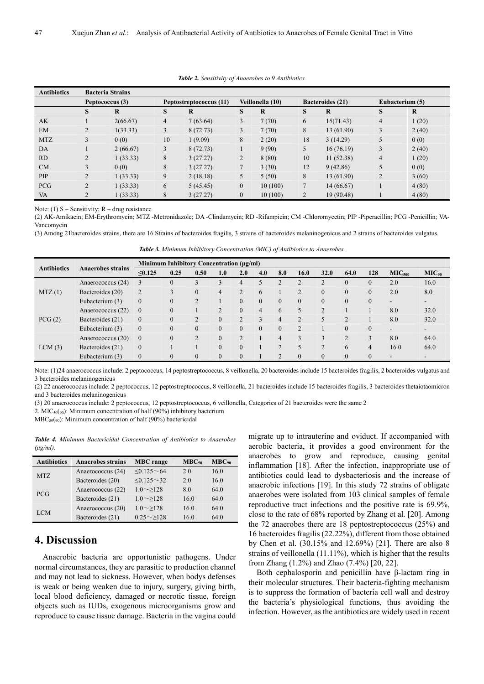| <b>Antibiotics</b> | <b>Bacteria Strains</b> |          |                |                         |                |                  |              |                         |                |                 |
|--------------------|-------------------------|----------|----------------|-------------------------|----------------|------------------|--------------|-------------------------|----------------|-----------------|
|                    | Peptococcus (3)         |          |                | Peptostreptococcus (11) |                | Veillonella (10) |              | <b>Bacteroides</b> (21) |                | Eubacterium (5) |
|                    | S                       | $\bf{R}$ | S              | R                       | S              | R                | S            | R                       | S              | $\bf{R}$        |
| AK                 |                         | 2(66.67) | $\overline{4}$ | 7(63.64)                | 3              | 7(70)            | 6            | 15(71.43)               | 4              | (20)            |
| EM                 | $\overline{2}$          | 1(33.33) | 3              | 8(72.73)                | 3              | 7(70)            | 8            | 13 (61.90)              | 3              | 2(40)           |
| <b>MTZ</b>         | 3                       | 0(0)     | 10             | 1(9.09)                 | 8              | 2(20)            | 18           | 3(14.29)                | 5              | 0(0)            |
| DA                 |                         | 2(66.67) | 3              | 8(72.73)                |                | 9(90)            | 5            | 16(76.19)               | 3              | 2(40)           |
| <b>RD</b>          |                         | 1(33.33) | 8              | 3(27.27)                | $\overline{2}$ | 8(80)            | 10           | 11(52.38)               | 4              | 1(20)           |
| CM                 |                         | 0(0)     | 8              | 3(27.27)                |                | 3(30)            | 12           | 9(42.86)                | 5              | 0(0)            |
| PIP                | $\overline{2}$          | 1(33.33) | 9              | 2(18.18)                | 5              | 5(50)            | 8            | 13 (61.90)              | $\overline{2}$ | 3(60)           |
| <b>PCG</b>         | 2                       | 1(33.33) | 6              | 5(45.45)                | $\mathbf{0}$   | 10(100)          | $\mathbf{r}$ | 14 (66.67)              |                | 4(80)           |
| VA                 | 2                       | (33.33)  | 8              | 3(27.27)                | $\mathbf{0}$   | 10(100)          | 2            | 19 (90.48)              |                | 4(80)           |

*Table 2. Sensitivity of Anaerobes to 9 Antibiotics.* 

Note: (1)  $S -$  Sensitivity;  $R -$  drug resistance

(2) AK-Amikacin; EM-Erythromycin; MTZ -Metronidazole; DA -Clindamycin; RD -Rifampicin; CM -Chloromycetin; PIP -Piperacillin; PCG -Penicillin; VA-Vancomycin

(3) Among 21bacteroides strains, there are 16 Strains of bacteroides fragilis, 3 strains of bacteroides melaninogenicus and 2 strains of bacteroides vulgatus.

| <b>Antibiotics</b> | <b>Anaerobes strains</b> | Minimum Inhibitory Concentration (μg/ml) |          |                             |               |                |          |                |                |                   |                |                |                          |                          |
|--------------------|--------------------------|------------------------------------------|----------|-----------------------------|---------------|----------------|----------|----------------|----------------|-------------------|----------------|----------------|--------------------------|--------------------------|
|                    |                          | $\leq 0.125$                             | 0.25     | 0.50                        | 1.0           | 2.0            | 4.0      | 8.0            | 16.0           | 32.0              | 64.0           | 128            | MIC <sub>500</sub>       | $MIC_{90}$               |
| MTZ(1)             | Anaerococcus (24)        |                                          | $\theta$ | 3                           |               | 4              | 5        | $\mathcal{L}$  | C              | $\mathbf{\Omega}$ | $\theta$       | $\theta$       | 2.0                      | 16.0                     |
|                    | Bacteroides (20)         | $\overline{2}$                           |          | $\theta$                    | 4             | $\mathfrak{D}$ | 6        |                | $\overline{2}$ | $\theta$          | $\mathbf{0}$   | $\theta$       | 2.0                      | 8.0                      |
|                    | Eubacterium (3)          | $\theta$                                 | $\theta$ |                             |               | $\Omega$       | $\Omega$ | $\mathbf{0}$   | $\Omega$       | $\theta$          | $\mathbf{0}$   | $\theta$       | $\sim$                   | $\overline{\phantom{0}}$ |
|                    | Anaerococcus (22)        | $\mathbf{0}$                             | $\theta$ |                             | $\mathcal{L}$ | $\Omega$       | 4        | 6              | 5              | $\gamma$          |                |                | 8.0                      | 32.0                     |
| PCG(2)             | Bacteroides (21)         | $\mathbf{0}$                             | $\theta$ | $\mathcal{D}_{\mathcal{A}}$ |               |                | 3        | $\overline{4}$ | $\overline{2}$ | $\varsigma$       | $\overline{2}$ |                | 8.0                      | 32.0                     |
|                    | Eubacterium (3)          | $\theta$                                 | $\theta$ | $\theta$                    |               | $\Omega$       | $\Omega$ | $\overline{0}$ | $\overline{2}$ |                   | $\Omega$       | $\Omega$       | $\overline{\phantom{a}}$ | $\overline{\phantom{a}}$ |
| LCM(3)             | Anaerococcus (20)        | $\mathbf{0}$                             | $\theta$ | $\mathcal{L}$               |               | C              |          | $\overline{4}$ | 3              |                   | $\overline{2}$ | 3              | 8.0                      | 64.0                     |
|                    | Bacteroides (21)         | $\overline{0}$                           |          |                             | $\theta$      | $\theta$       |          | $\overline{2}$ | 5              | $\overline{2}$    | 6              | $\overline{4}$ | 16.0                     | 64.0                     |
|                    | Eubacterium (3)          | $\theta$                                 | $\theta$ | $\theta$                    | $\theta$      | $\mathbf{0}$   |          | 2              | $\mathbf{0}$   | $\mathbf{0}$      | $\mathbf{0}$   | $\mathbf{0}$   | ۰                        | $\overline{\phantom{a}}$ |

*Table 3. Minimum Inhibitory Concentration (MIC) of Antibiotics to Anaerobes.* 

Note: (1)24 anaerococcus include: 2 peptococcus, 14 peptostreptococcus, 8 veillonella, 20 bacteroides include 15 bacteroides fragilis, 2 bacteroides vulgatus and 3 bacteroides melaninogenicus

(2) 22 anaerococcus include: 2 peptococcus, 12 peptostreptococcus, 8 veillonella, 21 bacteroides include 15 bacteroides fragilis, 3 bacteroides thetaiotaomicron and 3 bacteroides melaninogenicus

(3) 20 anaerococcus include: 2 peptococcus, 12 peptostreptococcus, 6 veillonella, Categories of 21 bacteroides were the same 2

2. MIC<sub>50</sub>( $_{90}$ ): Minimum concentration of half (90%) inhibitory bacterium

MBC50(90): Minimum concentration of half (90%) bactericidal

*Table 4. Minimum Bactericidal Concentration of Antibiotics to Anaerobes (µg/ml).* 

| <b>Antibiotics</b> | <b>Anaerobes strains</b> | <b>MBC</b> range     | $MBC_{50}$ | $MBC_{90}$ |
|--------------------|--------------------------|----------------------|------------|------------|
| MTZ                | Anaerococcus (24)        | $\leq 0.125 \sim 64$ | 2.0        | 16.0       |
|                    | Bacteroides (20)         | $< 0.125 \sim 32$    | 2.0        | 16.0       |
| <b>PCG</b>         | Anaerococcus (22)        | $1.0 \sim > 128$     | 8.0        | 64.0       |
|                    | Bacteroides (21)         | $1.0 \sim > 128$     | 16.0       | 64.0       |
| <b>LCM</b>         | Anaerococcus (20)        | $1.0 \sim > 128$     | 16.0       | 64.0       |
|                    | Bacteroides (21)         | $0.25 \sim > 128$    | 16.0       | 64.0       |

# **4. Discussion**

Anaerobic bacteria are opportunistic pathogens. Under normal circumstances, they are parasitic to production channel and may not lead to sickness. However, when bodys defenses is weak or being weaken due to injury, surgery, giving birth, local blood deficiency, damaged or necrotic tissue, foreign objects such as IUDs, exogenous microorganisms grow and reproduce to cause tissue damage. Bacteria in the vagina could

migrate up to intrauterine and oviduct. If accompanied with aerobic bacteria, it provides a good environment for the anaerobes to grow and reproduce, causing genital inflammation [18]. After the infection, inappropriate use of antibiotics could lead to dysbacteriosis and the increase of anaerobic infections [19]. In this study 72 strains of obligate anaerobes were isolated from 103 clinical samples of female reproductive tract infections and the positive rate is 69.9%, close to the rate of 68% reported by Zhang et al. [20]. Among the 72 anaerobes there are 18 peptostreptococcus (25%) and 16 bacteroides fragilis (22.22%), different from those obtained by Chen et al. (30.15% and 12.69%) [21]. There are also 8 strains of veillonella (11.11%), which is higher that the results from Zhang (1.2%) and Zhao (7.4%) [20, 22].

Both cephalosporin and penicillin have β-lactam ring in their molecular structures. Their bacteria-fighting mechanism is to suppress the formation of bacteria cell wall and destroy the bacteria's physiological functions, thus avoiding the infection. However, as the antibiotics are widely used in recent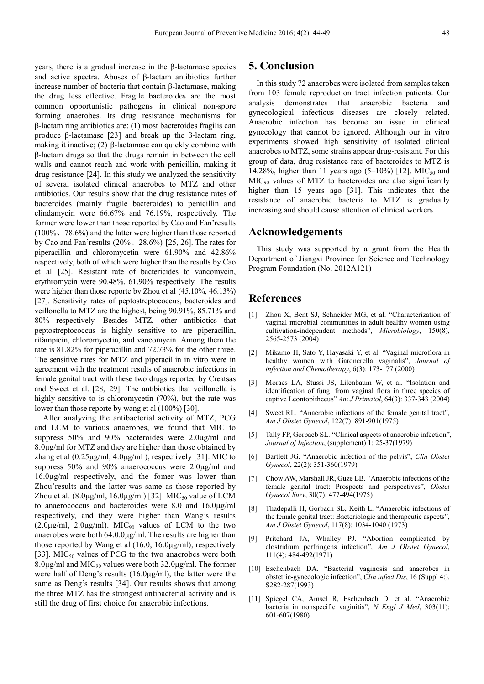years, there is a gradual increase in the β-lactamase species and active spectra. Abuses of β-lactam antibiotics further increase number of bacteria that contain β-lactamase, making the drug less effective. Fragile bacteroides are the most common opportunistic pathogens in clinical non-spore forming anaerobes. Its drug resistance mechanisms for β-lactam ring antibiotics are: (1) most bacteroides fragilis can produce β-lactamase [23] and break up the β-lactam ring, making it inactive; (2) β-lactamase can quickly combine with β-lactam drugs so that the drugs remain in between the cell walls and cannot reach and work with penicillin, making it drug resistance [24]. In this study we analyzed the sensitivity of several isolated clinical anaerobes to MTZ and other antibiotics. Our results show that the drug resistance rates of bacteroides (mainly fragile bacteroides) to penicillin and clindamycin were 66.67% and 76.19%, respectively. The former were lower than those reported by Cao and Fan'results (100%、78.6%) and the latter were higher than those reported by Cao and Fan'results (20%、28.6%) [25, 26]. The rates for piperacillin and chloromycetin were 61.90% and 42.86% respectively, both of which were higher than the results by Cao et al [25]. Resistant rate of bactericides to vancomycin, erythromycin were 90.48%, 61.90% respectively. The results were higher than those reporte by Zhou et al (45.10%, 46.13%) [27]. Sensitivity rates of peptostreptococcus, bacteroides and veillonella to MTZ are the highest, being 90.91%, 85.71% and 80% respectively. Besides MTZ, other antibiotics that peptostreptococcus is highly sensitive to are piperacillin, rifampicin, chloromycetin, and vancomycin. Among them the rate is 81.82% for piperacillin and 72.73% for the other three. The sensitive rates for MTZ and piperacillin in vitro were in agreement with the treatment results of anaerobic infections in female genital tract with these two drugs reported by Creatsas and Sweet et al. [28, 29]. The antibiotics that veillonella is highly sensitive to is chloromycetin (70%), but the rate was lower than those reporte by wang et al (100%) [30].

After analyzing the antibacterial activity of MTZ, PCG and LCM to various anaerobes, we found that MIC to suppress 50% and 90% bacteroides were 2.0µg/ml and 8.0µg/ml for MTZ and they are higher than those obtained by zhang et al (0.25µg/ml, 4.0µg/ml ), respectively [31]. MIC to suppress 50% and 90% anaerococcus were 2.0µg/ml and 16.0µg/ml respectively, and the fomer was lower than Zhou'results and the latter was same as those reported by Zhou et al.  $(8.0\mu\text{g/ml}, 16.0\mu\text{g/ml})$  [32]. MIC<sub>50</sub> value of LCM to anaerococcus and bacteroides were 8.0 and 16.0µg/ml respectively, and they were higher than Wang's results  $(2.0\mu g/ml, 2.0\mu g/ml)$ . MIC<sub>90</sub> values of LCM to the two anaerobes were both 64.0.0µg/ml. The results are higher than those reported by Wang et al (16.0, 16.0µg/ml), respectively [33]. MIC<sub>50</sub> values of PCG to the two anaerobes were both 8.0 $\mu$ g/ml and MIC<sub>90</sub> values were both 32.0 $\mu$ g/ml. The former were half of Deng's results (16.0µg/ml), the latter were the same as Deng's results [34]. Our results shows that among the three MTZ has the strongest antibacterial activity and is still the drug of first choice for anaerobic infections.

### **5. Conclusion**

In this study 72 anaerobes were isolated from samples taken from 103 female reproduction tract infection patients. Our analysis demonstrates that anaerobic bacteria and gynecological infectious diseases are closely related. Anaerobic infection has become an issue in clinical gynecology that cannot be ignored. Although our in vitro experiments showed high sensitivity of isolated clinical anaerobes to MTZ, some strains appear drug-resistant. For this group of data, drug resistance rate of bacteroides to MTZ is 14.28%, higher than 11 years ago (5–10%) [12]. MIC<sub>50</sub> and MIC90 values of MTZ to bacteroides are also significantly higher than 15 years ago [31]. This indicates that the resistance of anaerobic bacteria to MTZ is gradually increasing and should cause attention of clinical workers.

## **Acknowledgements**

This study was supported by a grant from the Health Department of Jiangxi Province for Science and Technology Program Foundation (No. 2012A121)

# **References**

- Zhou X, Bent SJ, Schneider MG, et al. "Characterization of vaginal microbial communities in adult healthy women using cultivation-independent methods", *Microbiology*, 150(8), 2565-2573 (2004)
- [2] Mikamo H, Sato Y, Hayasaki Y, et al. "Vaginal microflora in healthy women with Gardnerella vaginalis", *Journal of infection and Chemotherapy*, 6(3): 173-177 (2000)
- [3] Moraes LA, Stussi JS, Lilenbaum W, et al. "Isolation and identification of fungi from vaginal flora in three species of captive Leontopithecus" *Am J Primatol*, 64(3): 337-343 (2004)
- [4] Sweet RL. "Anaerobic infections of the female genital tract", *Am J Obstet Gynecol*, 122(7): 891-901(1975)
- [5] Tally FP, Gorbacb SL. "Clinical aspects of anaerobic infection", *Journal of Infection*, (supplement) 1: 25-37(1979)
- [6] Bartlett JG. "Anaerobic infection of the pelvis", *Clin Obstet Gynecol*, 22(2): 351-360(1979)
- [7] Chow AW, Marshall JR, Guze LB. "Anaerobic infections of the female genital tract: Prospects and perspectives", *Obstet Gynecol Surv*, 30(7): 477-494(1975)
- [8] Thadepalli H, Gorbach SL, Keith L. "Anaerobic infections of the female genital tract: Bacteriologic and therapeutic aspects", *Am J Obstet Gynecol*, 117(8): 1034-1040 (1973)
- [9] Pritchard JA, Whalley PJ. "Abortion complicated by clostridium perfringens infection", *Am J Obstet Gynecol*, 111(4): 484-492(1971)
- [10] Eschenbach DA. "Bacterial vaginosis and anaerobes in obstetric-gynecologic infection", *Clin infect Dis*, 16 (Suppl 4:). S282-287(1993)
- [11] Spiegel CA, Amsel R, Eschenbach D, et al. "Anaerobic bacteria in nonspecific vaginitis", *N Engl J Med*, 303(11): 601-607(1980)